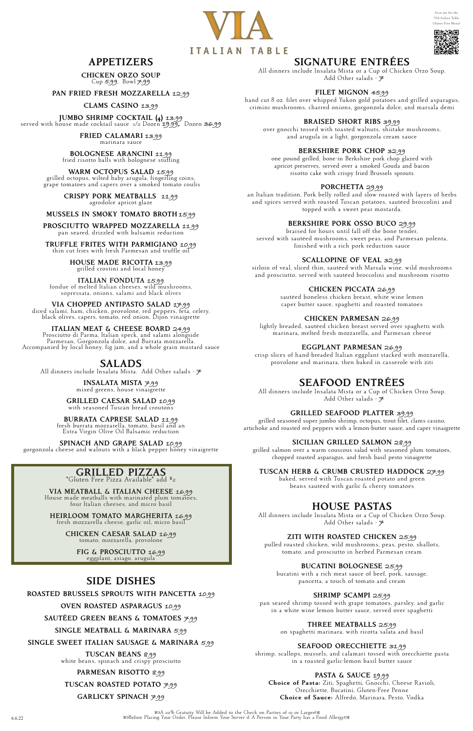A 20% Gratuity Will be Added to the Check on Parties of 10 or Larger 6.6.22 Before Placing Your Order, Please Inform Your Server if A Person in Your Party has a Food Allergy

### SIGNATURE ENTRÉES

All dinners include Insalata Mista or a Cup of Chicken Orzo Soup. Add Other salads - **7**

### FILET MIGNON **45.99**

hand cut 8 oz. filet over whipped Yukon gold potatoes and grilled asparagus, crimini mushrooms, charred onions, gorgonzola dolce, and marsala demi

### BRAISED SHORT RIBS **39.99**

over gnocchi tossed with toasted walnuts, shiitake mushrooms, and arugula in a light, gorgonzola cream sauce

#### BERKSHIRE PORK CHOP **32.99**

one pound grilled, bone-in Berkshire pork chop glazed with apricot preserves, served over a smoked Gouda and bacon risotto cake with crispy fried Brussels sprouts

#### PORCHETTA **29.99**

an Italian tradition, Pork belly rolled and slow roasted with layers of herbs and spices served with roasted Tuscan potatoes, sautéed broccolini and topped with a sweet pear mostarda.

#### BERKSHIRE PORK OSSO BUCO **29.99**

braised for hours until fall off the bone tender, served with sautéed mushrooms, sweet peas, and Parmesan polenta, finished with a rich pork reduction sauce

#### SCALLOPINE OF VEAL **32.99**

sirloin of veal, sliced thin, sautéed with Marsala wine, wild mushrooms and prosciutto, served with sautéed broccolini and mushroom risotto

#### CHICKEN PICCATA **26.99**

sautéed boneless chicken breast, white wine lemon caper butter sauce, spaghetti and roasted tomatoes

### CHICKEN PARMESAN **26.99**

lightly breaded, sautéed chicken breast served over spaghetti with marinara, melted fresh mozzarella, and Parmesan cheese

### EGGPLANT PARMESAN **26.99**

crisp slices of hand-breaded Italian eggplant stacked with mozzarella, provolone and marinara, then baked in casserole with ziti

## SEAFOOD ENTRÉES

All dinners include Insalata Mista or a Cup of Chicken Orzo Soup. Add Other salads - **7**

### GRILLED SEAFOOD PLATTER **39.99**

grilled seasoned super jumbo shrimp, octopus, trout filet, clams casino, artichoke and roasted red peppers with a lemon-butter sauce, and caper vinaigrette

#### SICILIAN GRILLED SALMON **28.99**

grilled salmon over a warm couscous salad with seasoned plum tomatoes, chopped roasted asparagus, and fresh basil pesto vinaigrette

ITALIAN MEAT & CHEESE BOARD **24.99** Prosciutto di Parma, Italian speck, and salami alongside Accompanied by local honey, fig jam, and a whole grain mustard sauce

TUSCAN HERB & CRUMB CRUSTED HADDOCK **27.99**

baked, served with Tuscan roasted potato and green beans sautéed with garlic & cherry tomatoes

### HOUSE PASTAS

All dinners include Insalata Mista or a Cup of Chicken Orzo Soup. Add Other salads - **7**

### ZITI WITH ROASTED CHICKEN **25.99**

pulled roasted chicken, wild mushrooms, peas, pesto, shallots, tomato, and prosciutto in herbed Parmesan cream

#### BUCATINI BOLOGNESE **25.99**

bucatini with a rich meat sauce of beef, pork, sausage, pancetta, a touch of tomato and cream

#### SHRIMP SCAMPI **25.99**

pan seared shrimp tossed with grape tomatoes, parsley, and garlic in a white wine lemon butter sauce, served over spaghetti

### THREE MEATBALLS **25.99**

on spaghetti marinara, with ricotta salata and basil

### SEAFOOD ORECCHIETTE **31.99**

shrimp, scallops, mussels, and calamari tossed with orecchiette pasta in a roasted garlic-lemon basil butter sauce

#### PASTA & SAUCE **19.99**

Choice of Pasta: Ziti, Spaghetti, Gnocchi, Cheese Ravioli, Orecchiette, Bucatini, Gluten-Free Penne Choice of Sauce: Alfredo, Marinara, Pesto, Vodka





# 回报演回

## APPETIZERS

CHICKEN ORZO SOUP Cup **5.99**, Bowl **7.99**

PAN FRIED FRESH MOZZARELLA **12.99**

#### CLAMS CASINO **13.99**

JUMBO SHRIMP COCKTAIL (4) **13.99** served with house made cocktail sauce 1/2 Dozen **19.99,** Dozen **36.99**

FRIED CALAMARI **13.99** marinara sauce

BOLOGNESE ARANCINI **11.99** fried risotto balls with bolognese stuffing

WARM OCTOPUS SALAD **15.99** grilled octopus, wilted baby arugula, fingerling coins, grape tomatoes and capers over a smoked tomato coulis

CRISPY PORK MEATBALLS **11.99** agrodolce apricot glaze

#### MUSSELS IN SMOKY TOMATO BROTH **15.99**

PROSCIUTTO WRAPPED MOZZARELLA **11.99** pan seared, drizzled with balsamic reduction

TRUFFLE FRITES WITH PARMIGIANO **10.99** thin cut fries with fresh Parmesan and truffle oil

HOUSE MADE RICOTTA **13.99** grilled crostini and local honey

ITALIAN FONDUTA **15.99** fondue of melted Italian cheeses, wild mushrooms, sopressata, onions, salami and black olives

VIA CHOPPED ANTIPASTO SALAD **17.99** diced salami, ham, chicken, provolone, red peppers, feta, celery, black olives, capers, tomato, red onion, Dijon vinaigrette

### SALADS

All dinners include Insalata Mista. Add Other salads - **7**

## INSALATA MISTA **7.99** mixed greens, house vinaigrette

GRILLED CAESAR SALAD **10.99** with seasoned Tuscan bread croutons

BURRATA CAPRESE SALAD **11.99** fresh burrata mozzarella, tomato, basil and an

Extra Virgin Olive Oil Balsamic reduction

SPINACH AND GRAPE SALAD **10.99** gorgonzola cheese and walnuts with a black pepper honey vinaigrette

## GRILLED PIZZAS

\*Gluten Free Pizza Available\* add \$2

VIA MEATBALL & ITALIAN CHEESE **16.99** House made meatballs with marinated plum tomatoes, four Italian cheeses, and micro basil

HEIRLOOM TOMATO MARGHERITA **16.99** fresh mozzarella cheese, garlic oil, micro basil

CHICKEN CAESAR SALAD **16.99** tomato, mozzarella, provolone

FIG & PROSCIUTTO **16.99** eggplant, asiago, arugula

## SIDE DISHES

### ROASTED BRUSSELS SPROUTS WITH PANCETTA **10.99**

OVEN ROASTED ASPARAGUS **10.99**

SAUTÉED GREEN BEANS & TOMATOES **7.99**

SINGLE MEATBALL & MARINARA **5.99**

SINGLE SWEET ITALIAN SAUSAGE & MARINARA **5.99**

TUSCAN BEANS **8.99** white beans, spinach and crispy prosciutto

PARMESAN RISOTTO **8.99**

TUSCAN ROASTED POTATO **7.99**

GARLICKY SPINACH **7.99**